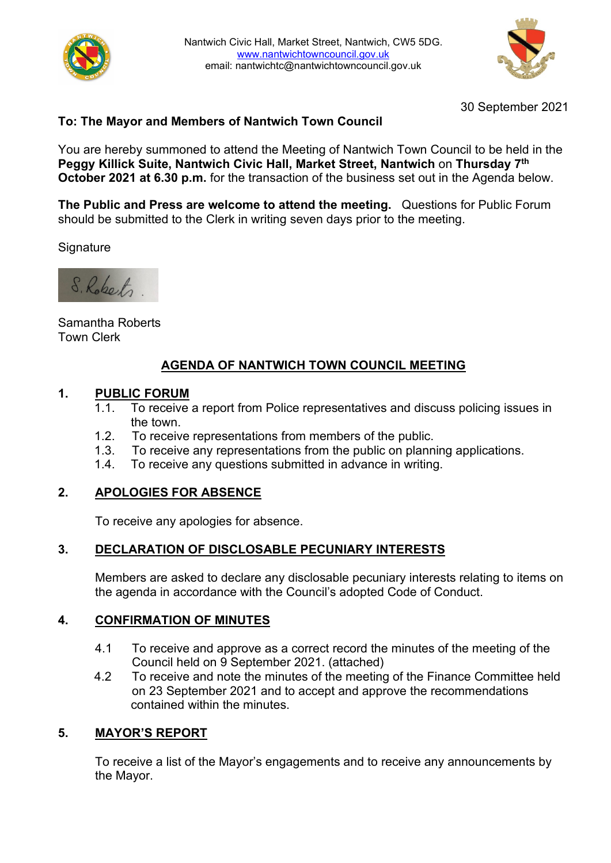



30 September 2021

## **To: The Mayor and Members of Nantwich Town Council**

You are hereby summoned to attend the Meeting of Nantwich Town Council to be held in the **Peggy Killick Suite, Nantwich Civic Hall, Market Street, Nantwich** on **Thursday 7th October 2021 at 6.30 p.m.** for the transaction of the business set out in the Agenda below.

**The Public and Press are welcome to attend the meeting.** Questions for Public Forum should be submitted to the Clerk in writing seven days prior to the meeting.

**Signature** 



Samantha Roberts Town Clerk

# **AGENDA OF NANTWICH TOWN COUNCIL MEETING**

# **1. PUBLIC FORUM**

- To receive a report from Police representatives and discuss policing issues in the town.
- 1.2. To receive representations from members of the public.
- 1.3. To receive any representations from the public on planning applications.
- 1.4. To receive any questions submitted in advance in writing.

#### **2. APOLOGIES FOR ABSENCE**

To receive any apologies for absence.

## **3. DECLARATION OF DISCLOSABLE PECUNIARY INTERESTS**

Members are asked to declare any disclosable pecuniary interests relating to items on the agenda in accordance with the Council's adopted Code of Conduct.

#### **4. CONFIRMATION OF MINUTES**

- 4.1 To receive and approve as a correct record the minutes of the meeting of the Council held on 9 September 2021. (attached)
- 4.2 To receive and note the minutes of the meeting of the Finance Committee held on 23 September 2021 and to accept and approve the recommendations contained within the minutes.

#### **5. MAYOR'S REPORT**

To receive a list of the Mayor's engagements and to receive any announcements by the Mayor.